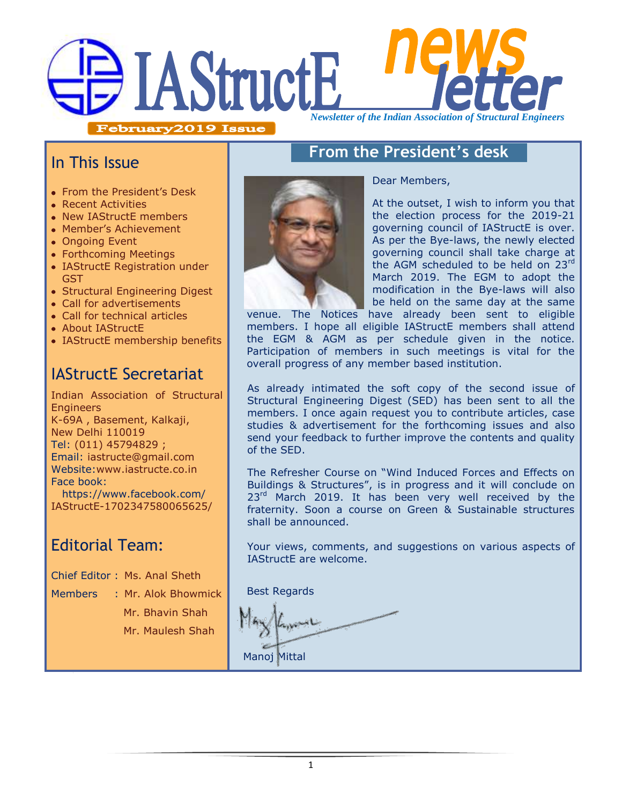# **IAStructE** *Newsletter of the Indian Association of Structural Engineers*

February2019 Issue

# **From the President's desk**

Dear Members,

# In This Issue

- From the President's Desk
- Recent Activities
- New IAStructE members
- Member"s Achievement
- Ongoing Event
- Forthcoming Meetings
- IAStructE Registration under **GST**
- Structural Engineering Digest
- Call for advertisements
- Call for technical articles
- About IAStructE
- IAStructE membership benefits

# IAStructE Secretariat

Indian Association of Structural **Engineers** K-69A , Basement, Kalkaji, New Delhi 110019 Tel: (011) 45794829 ; Email: iastructe@gmail.com Website[:www.iastructe.co.in](http://www.iastructe.co.in/) Face book: [https://www.facebook.com/](https://www.facebook.com/%20IAStructE-1702347580065625/) 

[IAStructE-1702347580065625/](https://www.facebook.com/%20IAStructE-1702347580065625/)

# Editorial Team:

Chief Editor : Ms. Anal Sheth

Members : Mr. Alok Bhowmick Mr. Bhavin Shah

Mr. Maulesh Shah



At the outset, I wish to inform you that the election process for the 2019-21 governing council of IAStructE is over. As per the Bye-laws, the newly elected governing council shall take charge at the AGM scheduled to be held on 23rd March 2019. The EGM to adopt the modification in the Bye-laws will also be held on the same day at the same

venue. The Notices have already been sent to eligible members. I hope all eligible IAStructE members shall attend the EGM & AGM as per schedule given in the notice. Participation of members in such meetings is vital for the overall progress of any member based institution.

As already intimated the soft copy of the second issue of Structural Engineering Digest (SED) has been sent to all the members. I once again request you to contribute articles, case studies & advertisement for the forthcoming issues and also send your feedback to further improve the contents and quality of the SED.

The Refresher Course on "Wind Induced Forces and Effects on Buildings & Structures", is in progress and it will conclude on  $23<sup>rd</sup>$  March 2019. It has been very well received by the fraternity. Soon a course on Green & Sustainable structures shall be announced.

Your views, comments, and suggestions on various aspects of IAStructE are welcome.

Best Regards

Manoj Mittal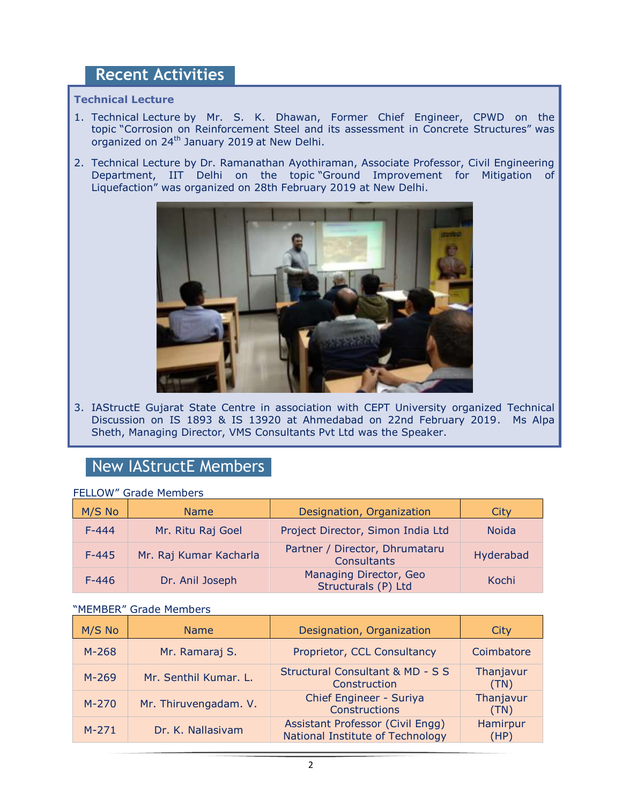### **Recent Activities**

#### **Technical Lecture**

- 1. Technical Lecture by Mr. S. K. Dhawan, Former Chief Engineer, CPWD on the topic "Corrosion on Reinforcement Steel and its assessment in Concrete Structures" was organized on 24<sup>th</sup> January 2019 at New Delhi.
- 2. Technical Lecture by Dr. Ramanathan Ayothiraman, Associate Professor, Civil Engineering Department, IIT Delhi on the topic "Ground Improvement for Mitigation of Liquefaction" was organized on 28th February 2019 at New Delhi.



3. IAStructE Gujarat State Centre in association with CEPT University organized Technical Discussion on IS 1893 & IS 13920 at Ahmedabad on 22nd February 2019. Ms Alpa Sheth, Managing Director, VMS Consultants Pvt Ltd was the Speaker.

## New IAStructE Members

#### FELLOW" Grade Members

| M/S No    | <b>Name</b>            | Designation, Organization                            | Citv         |
|-----------|------------------------|------------------------------------------------------|--------------|
| $F - 444$ | Mr. Ritu Raj Goel      | Project Director, Simon India Ltd                    | <b>Noida</b> |
| $F-445$   | Mr. Raj Kumar Kacharla | Partner / Director, Dhrumataru<br><b>Consultants</b> | Hyderabad    |
| $F - 446$ | Dr. Anil Joseph        | Managing Director, Geo<br>Structurals (P) Ltd        | Kochi        |

#### "MEMBER" Grade Members

| M/S No  | <b>Name</b>           | Designation, Organization                                            | City              |
|---------|-----------------------|----------------------------------------------------------------------|-------------------|
| $M-268$ | Mr. Ramaraj S.        | Proprietor, CCL Consultancy                                          | Coimbatore        |
| $M-269$ | Mr. Senthil Kumar. L. | <b>Structural Consultant &amp; MD - S S</b><br>Construction          | Thanjavur<br>(TN) |
| $M-270$ | Mr. Thiruvengadam. V. | Chief Engineer - Suriya<br>Constructions                             | Thanjavur<br>(TN) |
| $M-271$ | Dr. K. Nallasivam     | Assistant Professor (Civil Engg)<br>National Institute of Technology | Hamirpur<br>(HP)  |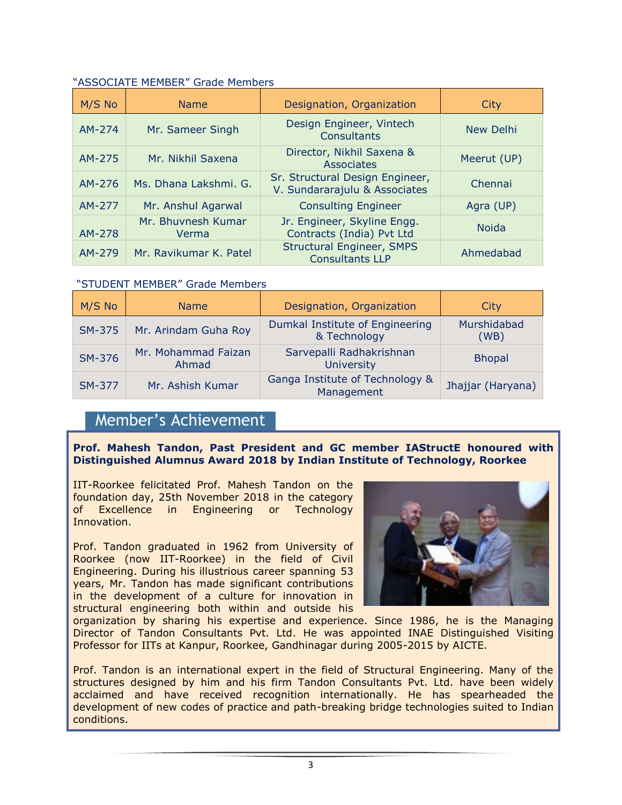#### "ASSOCIATE MEMBER" Grade Members

| M/S No | <b>Name</b>                 | Designation, Organization                                        | <b>City</b>      |
|--------|-----------------------------|------------------------------------------------------------------|------------------|
| AM-274 | Mr. Sameer Singh            | Design Engineer, Vintech<br><b>Consultants</b>                   | <b>New Delhi</b> |
| AM-275 | Mr. Nikhil Saxena           | Director, Nikhil Saxena &<br>Associates                          | Meerut (UP)      |
| AM-276 | Ms. Dhana Lakshmi. G.       | Sr. Structural Design Engineer,<br>V. Sundararajulu & Associates | Chennai          |
| AM-277 | Mr. Anshul Agarwal          | <b>Consulting Engineer</b>                                       | Agra (UP)        |
| AM-278 | Mr. Bhuvnesh Kumar<br>Verma | Jr. Engineer, Skyline Engg.<br>Contracts (India) Pvt Ltd         | <b>Noida</b>     |
| AM-279 | Mr. Ravikumar K. Patel      | <b>Structural Engineer, SMPS</b><br><b>Consultants LLP</b>       | Ahmedabad        |

#### "STUDENT MEMBER" Grade Members

| M/S No | <b>Name</b>                  | Designation, Organization                       | City                |
|--------|------------------------------|-------------------------------------------------|---------------------|
| SM-375 | Mr. Arindam Guha Roy         | Dumkal Institute of Engineering<br>& Technology | Murshidabad<br>(WB) |
| SM-376 | Mr. Mohammad Faizan<br>Ahmad | Sarvepalli Radhakrishnan<br><b>University</b>   | <b>Bhopal</b>       |
| SM-377 | Mr. Ashish Kumar             | Ganga Institute of Technology &<br>Management   | Jhajjar (Haryana)   |

#### Member's Achievement

**Prof. Mahesh Tandon, Past President and GC member IAStructE honoured with Distinguished Alumnus Award 2018 by Indian Institute of Technology, Roorkee** 

IIT-Roorkee felicitated Prof. Mahesh Tandon on the foundation day, 25th November 2018 in the category of Excellence in Engineering or Technology Innovation.

Prof. Tandon graduated in 1962 from University of Roorkee (now IIT-Roorkee) in the field of Civil Engineering. During his illustrious career spanning 53 years, Mr. Tandon has made significant contributions in the development of a culture for innovation in structural engineering both within and outside his



organization by sharing his expertise and experience. Since 1986, he is the Managing Director of Tandon Consultants Pvt. Ltd. He was appointed INAE Distinguished Visiting Professor for IITs at Kanpur, Roorkee, Gandhinagar during 2005-2015 by AICTE.

Prof. Tandon is an international expert in the field of Structural Engineering. Many of the structures designed by him and his firm Tandon Consultants Pvt. Ltd. have been widely acclaimed and have received recognition internationally. He has spearheaded the development of new codes of practice and path-breaking bridge technologies suited to Indian conditions.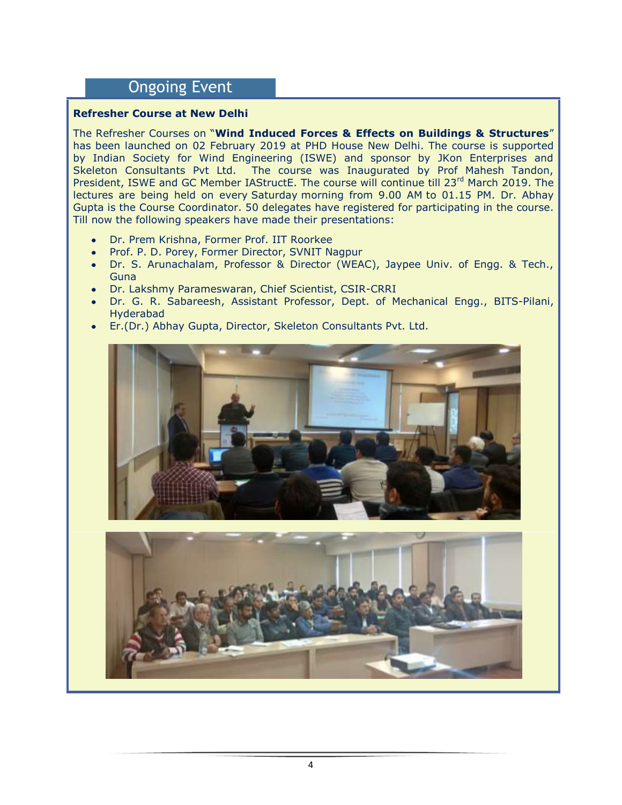## Ongoing Event

#### **Refresher Course at New Delhi**

The Refresher Courses on "**Wind Induced Forces & Effects on Buildings & Structures**" has been launched on 02 February 2019 at PHD House New Delhi. The course is supported by Indian Society for Wind Engineering (ISWE) and sponsor by JKon Enterprises and Skeleton Consultants Pvt Ltd. The course was Inaugurated by Prof Mahesh Tandon, President, ISWE and GC Member IAStructE. The course will continue till 23<sup>rd</sup> March 2019. The lectures are being held on every Saturday morning from 9.00 AM to 01.15 PM. Dr. Abhay Gupta is the Course Coordinator. 50 delegates have registered for participating in the course. Till now the following speakers have made their presentations:

- Dr. Prem Krishna, Former Prof. IIT Roorkee
- Prof. P. D. Porey, Former Director, SVNIT Nagpur
- Dr. S. Arunachalam, Professor & Director (WEAC), Jaypee Univ. of Engg. & Tech., Guna
- Dr. Lakshmy Parameswaran, Chief Scientist, CSIR-CRRI
- Dr. G. R. Sabareesh, Assistant Professor, Dept. of Mechanical Engg., BITS-Pilani, Hyderabad
- Er.(Dr.) Abhay Gupta, Director, Skeleton Consultants Pvt. Ltd.



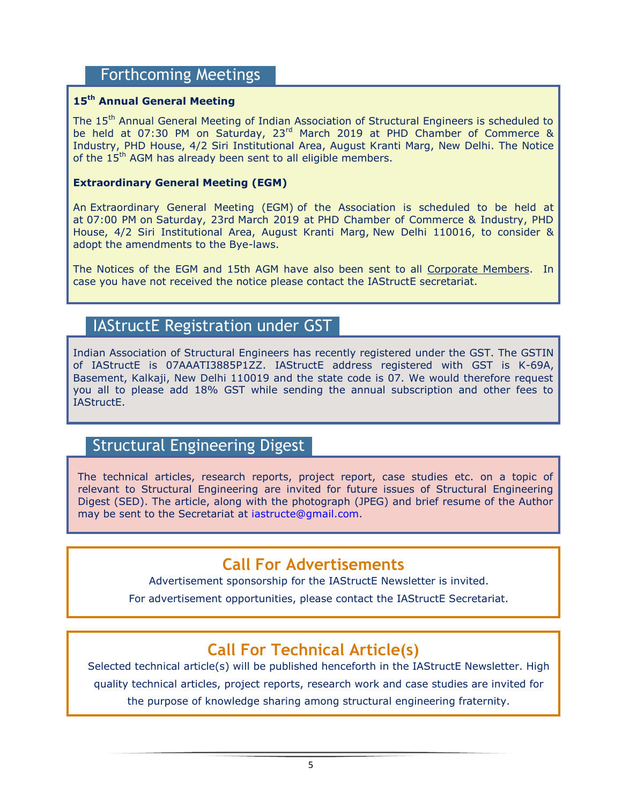## Forthcoming Meetings

#### **15th Annual General Meeting**

The 15<sup>th</sup> Annual General Meeting of Indian Association of Structural Engineers is scheduled to be held at 07:30 PM on Saturday, 23<sup>rd</sup> March 2019 at PHD Chamber of Commerce & Industry, PHD House, 4/2 Siri Institutional Area, August Kranti Marg, New Delhi. The Notice of the 15<sup>th</sup> AGM has already been sent to all eligible members.

#### **Extraordinary General Meeting (EGM)**

An Extraordinary General Meeting (EGM) of the Association is scheduled to be held at at 07:00 PM on Saturday, 23rd March 2019 at PHD Chamber of Commerce & Industry, PHD House, 4/2 Siri Institutional Area, August Kranti Marg, New Delhi 110016, to consider & adopt the amendments to the Bye-laws.

The Notices of the EGM and 15th AGM have also been sent to all Corporate Members. In case you have not received the notice please contact the IAStructE secretariat.

## IAStructE Registration under GST

Indian Association of Structural Engineers has recently registered under the GST. The GSTIN of IAStructE is 07AAATI3885P1ZZ. IAStructE address registered with GST is K-69A, Basement, Kalkaji, New Delhi 110019 and the state code is 07. We would therefore request you all to please add 18% GST while sending the annual subscription and other fees to IAStructE.

## Structural Engineering Digest

The technical articles, research reports, project report, case studies etc. on a topic of relevant to Structural Engineering are invited for future issues of Structural Engineering Digest (SED). The article, along with the photograph (JPEG) and brief resume of the Author may be sent to the Secretariat at [iastructe@gmail.com.](mailto:iastructe@gmail.com)

## **Call For Advertisements**

Advertisement sponsorship for the IAStructE Newsletter is invited.

For advertisement opportunities, please contact the IAStructE Secretariat.

# **Call For Technical Article(s)**

Selected technical article(s) will be published henceforth in the IAStructE Newsletter. High quality technical articles, project reports, research work and case studies are invited for the purpose of knowledge sharing among structural engineering fraternity.